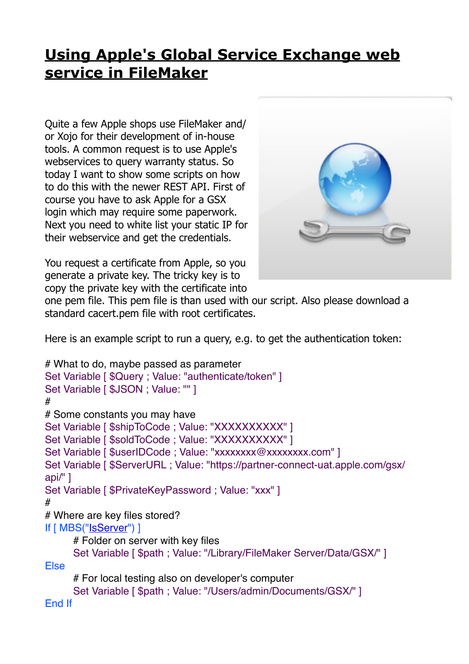## **[Using Apple's Global Service Exchange web](https://www.mbs-plugins.com/archive/2019-09-04/Using_Apples_Global_Service_Ex/monkeybreadsoftware_blog_filemaker)  [service in FileMaker](https://www.mbs-plugins.com/archive/2019-09-04/Using_Apples_Global_Service_Ex/monkeybreadsoftware_blog_filemaker)**

Quite a few Apple shops use FileMaker and/ or Xojo for their development of in-house tools. A common request is to use Apple's webservices to query warranty status. So today I want to show some scripts on how to do this with the newer REST API. First of course you have to ask Apple for a GSX login which may require some paperwork. Next you need to white list your static IP for their webservice and get the credentials.



You request a certificate from Apple, so you generate a private key. The tricky key is to copy the private key with the certificate into

one pem file. This pem file is than used with our script. Also please download a standard cacert.pem file with root certificates.

Here is an example script to run a query, e.g. to get the authentication token:

```
# What to do, maybe passed as parameter
Set Variable [ $Query ; Value: "authenticate/token" ]
Set Variable [ $JSON ; Value: "" ]
#
# Some constants you may have
Set Variable [ $shipToCode : Value: "XXXXXXXXXX" ]
Set Variable [ $soldToCode ; Value: "XXXXXXXXXXX" ]
Set Variable [ $userIDCode ; Value: "xxxxxxxx@xxxxxxxx.com" ]
Set Variable [ $ServerURL ; Value: "https://partner-connect-uat.apple.com/gsx/
api/" ]
Set Variable [ $PrivateKeyPassword ; Value: "xxx" ]
#
# Where are key files stored?
"IsServer") ]
      # Folder on server with key files
      Set Variable [ $path ; Value: "/Library/FileMaker Server/Data/GSX/" ]
Else
      # For local testing also on developer's computer
      Set Variable [ $path ; Value: "/Users/admin/Documents/GSX/" ]
```
End If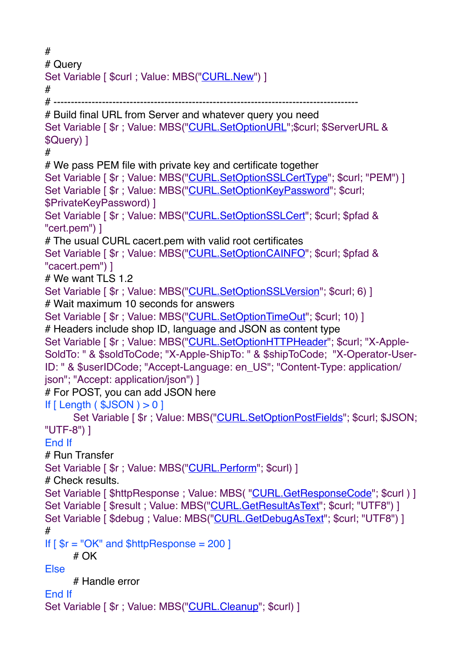```
#
# Query
"CURL.New") ]
#
# ----------------------------------------------------------------------------------------
# Build final URL from Server and whatever query you need
Set Variable [ $r ; Value: MBS("CURL.SetOptionURL";$curl; $ServerURL & 
$Query) ]
#
# We pass PEM file with private key and certificate together
"CURL.SetOptionSSLCertType"; $curl; "PEM") ]
Set Variable [ r"CURL.SetOptionKeyPassword"; $curl;
$PrivateKeyPassword) ]
Set Variable [ $r ; Value: MBS("CURL.SetOptionSSLCert"; $curl; $pfad & 
"cert.pem") ]
# The usual CURL cacert.pem with valid root certificates
"CURL.SetOptionCAINFO"; $curl; $pfad &
"cacert.pem") ]
# We want TLS 1.2
"CURL.SetOptionSSLVersion"; $curl; 6) ]
# Wait maximum 10 seconds for answers
Set Variable [ r : Value"CURL.SetOptionTimeOut"; $curl; 10) ]
# Headers include shop ID, language and JSON as content type
Set Variable [ r : Value"CURL.SetOptionHTTPHeader"; $curl; "X-Apple-
SoldTo: " & $soldToCode; "X-Apple-ShipTo: " & $shipToCode; "X-Operator-User-
ID: " & $userIDCode; "Accept-Language: en_US"; "Content-Type: application/
json"; "Accept: application/json") ]
# For POST, you can add JSON here
If [ Length ( $JSON ) > 0 ]
     "CURL.SetOptionPostFields"; $curl; $JSON;
"UTF-8") ]
End If
# Run Transfer
Set Variable [ \frac{1}{2}r ; Value: MBS("CURL. Perform"; $curl) ]
# Check results.
"CURL.GetResponseCode"; $curl ) ]
"CURL.GetResultAsText"; $curl; "UTF8") ]
CURL.GetDebugAsText"; $curl; "UTF8") ]
#
If \lceil $r = "OK" and $httpResponse = 200 ]
     # OK
Else
     # Handle error
End If
Set Variable [ \frac{1}{2}r ; Value: MBS("CURL. Cleanup"; $curl) ]
```